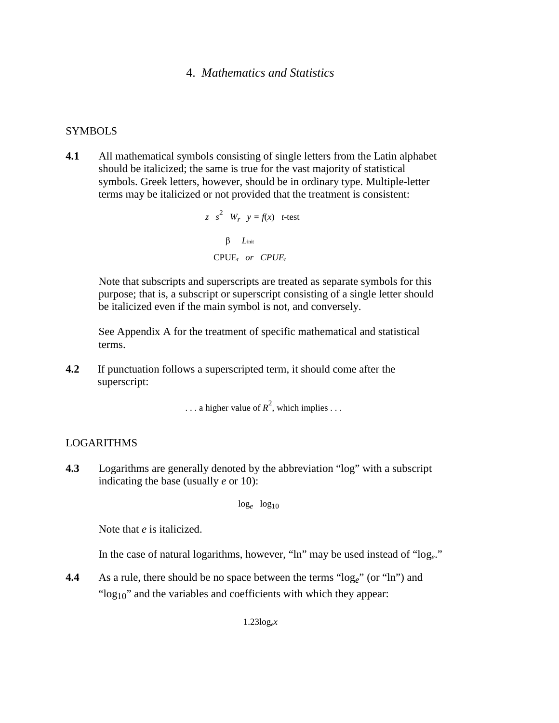# 4. *Mathematics and Statistics*

## **SYMBOLS**

**4.1** All mathematical symbols consisting of single letters from the Latin alphabet should be italicized; the same is true for the vast majority of statistical symbols. Greek letters, however, should be in ordinary type. Multiple-letter terms may be italicized or not provided that the treatment is consistent:

z 
$$
s^2
$$
  $W_r$   $y = f(x)$  t-test  
\n $\beta$   $L_{init}$   
\nCPUE<sub>t</sub> or CPUE<sub>t</sub>

Note that subscripts and superscripts are treated as separate symbols for this purpose; that is, a subscript or superscript consisting of a single letter should be italicized even if the main symbol is not, and conversely.

See Appendix A for the treatment of specific mathematical and statistical terms.

**4.2** If punctuation follows a superscripted term, it should come after the superscript:

 $\dots$  a higher value of  $R^2$ , which implies  $\dots$ 

#### LOGARITHMS

**4.3** Logarithms are generally denoted by the abbreviation "log" with a subscript indicating the base (usually *e* or 10):

 $log_e$   $log_{10}$ 

Note that *e* is italicized.

In the case of natural logarithms, however, "ln" may be used instead of "log*e*."

**4.4** As a rule, there should be no space between the terms "log<sub>e</sub>" (or "ln") and " $log_{10}$ " and the variables and coefficients with which they appear:

 $1.23\log_e x$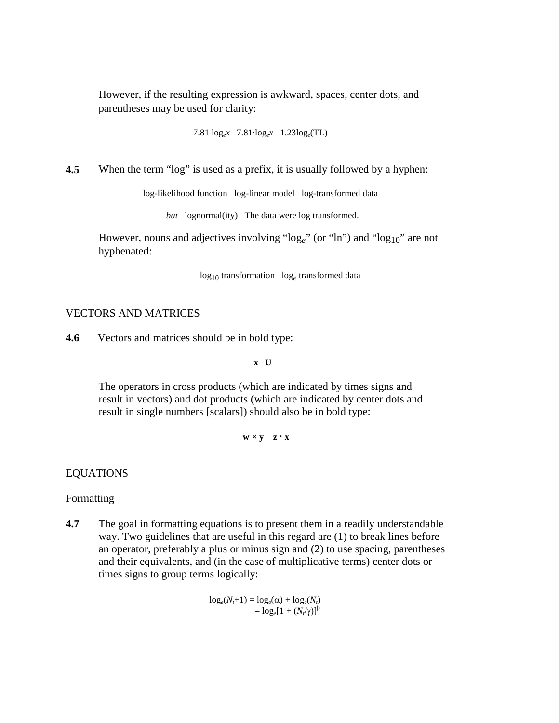However, if the resulting expression is awkward, spaces, center dots, and parentheses may be used for clarity:

7.81 log*ex* 7.81∙log*ex* 1.23log*e*(TL)

**4.5** When the term "log" is used as a prefix, it is usually followed by a hyphen:

log-likelihood function log-linear model log-transformed data

*but* lognormal(ity) The data were log transformed.

However, nouns and adjectives involving "log<sub>e</sub>" (or "ln") and "log<sub>10</sub>" are not hyphenated:

log10 transformation log*<sup>e</sup>* transformed data

## VECTORS AND MATRICES

**4.6** Vectors and matrices should be in bold type:

**x U**

The operators in cross products (which are indicated by times signs and result in vectors) and dot products (which are indicated by center dots and result in single numbers [scalars]) should also be in bold type:

 $w \times y$   $z \cdot x$ 

#### EQUATIONS

Formatting

**4.7** The goal in formatting equations is to present them in a readily understandable way. Two guidelines that are useful in this regard are (1) to break lines before an operator, preferably a plus or minus sign and (2) to use spacing, parentheses and their equivalents, and (in the case of multiplicative terms) center dots or times signs to group terms logically:

> $\log_e(N_t+1) = \log_e(\alpha) + \log_e(N_t)$  $-\log_e[1 + (N_e/\gamma)]^{\beta}$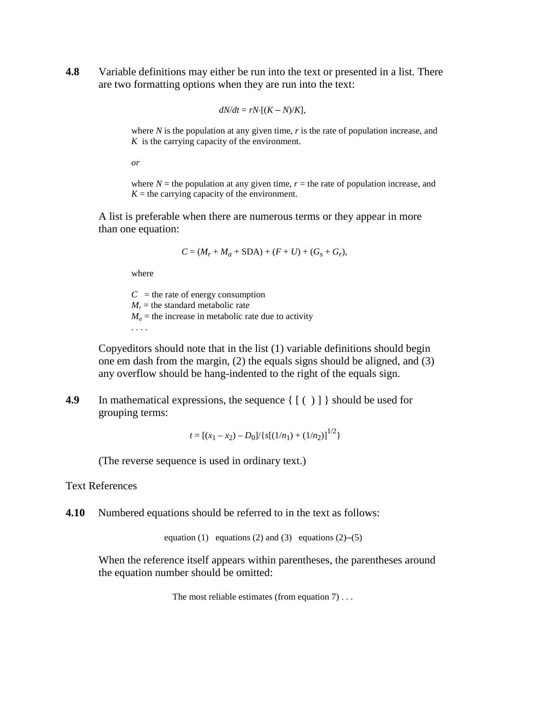**4.8** Variable definitions may either be run into the text or presented in a list. There are two formatting options when they are run into the text:

$$
dN/dt = rN\cdot [(K - N)/K],
$$

where *N* is the population at any given time, *r* is the rate of population increase, and *K* is the carrying capacity of the environment.

*or*

where  $N =$  the population at any given time,  $r =$  the rate of population increase, and  $K =$  the carrying capacity of the environment.

A list is preferable when there are numerous terms or they appear in more than one equation:

$$
C = (M_r + M_a + SDA) + (F + U) + (G_s + G_r),
$$

where

 $C =$  the rate of energy consumption  $M_r$  = the standard metabolic rate  $M_a$  = the increase in metabolic rate due to activity . . . .

Copyeditors should note that in the list (1) variable definitions should begin one em dash from the margin, (2) the equals signs should be aligned, and (3) any overflow should be hang-indented to the right of the equals sign.

**4.9** In mathematical expressions, the sequence  $\{ \lceil (\tceil) \rceil \}$  should be used for grouping terms:

 $t = [(x_1 - x_2) - D_0]/\{s[(1/n_1) + (1/n_2)]^{1/2}\}$ 

(The reverse sequence is used in ordinary text.)

Text References

**4.10** Numbered equations should be referred to in the text as follows:

equation (1) equations (2) and (3) equations (2)–(5)

When the reference itself appears within parentheses, the parentheses around the equation number should be omitted:

```
The most reliable estimates (from equation 7) . . .
```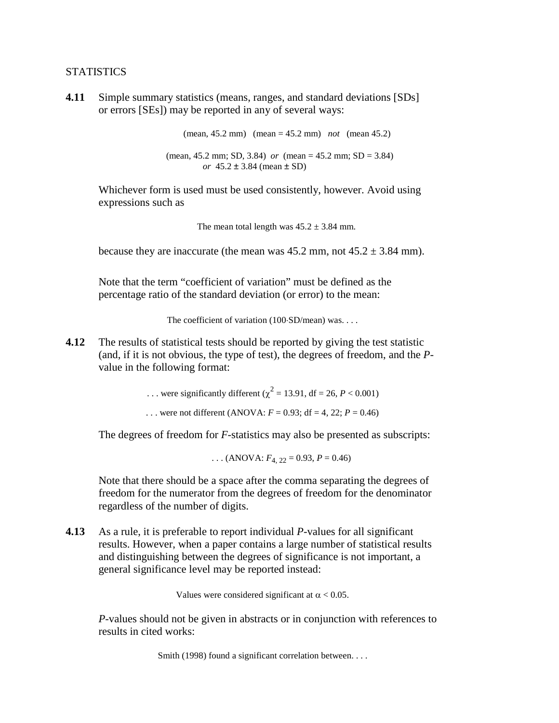### **STATISTICS**

**4.11** Simple summary statistics (means, ranges, and standard deviations [SDs] or errors [SEs]) may be reported in any of several ways:

> (mean, 45.2 mm) (mean = 45.2 mm) *not* (mean 45.2) (mean, 45.2 mm; SD, 3.84) *or* (mean = 45.2 mm; SD = 3.84) *or* 45.2 ± 3.84 (mean ± SD)

Whichever form is used must be used consistently, however. Avoid using expressions such as

The mean total length was  $45.2 \pm 3.84$  mm.

because they are inaccurate (the mean was  $45.2$  mm, not  $45.2 \pm 3.84$  mm).

Note that the term "coefficient of variation" must be defined as the percentage ratio of the standard deviation (or error) to the mean:

The coefficient of variation (100⋅SD/mean) was. . . .

**4.12** The results of statistical tests should be reported by giving the test statistic (and, if it is not obvious, the type of test), the degrees of freedom, and the *P*value in the following format:

... were significantly different ( $\chi^2 = 13.91$ , df = 26, *P* < 0.001)

... were not different (ANOVA:  $F = 0.93$ ; df = 4, 22;  $P = 0.46$ )

The degrees of freedom for *F*-statistics may also be presented as subscripts:

... (ANOVA:  $F_4$ ,  $22 = 0.93$ ,  $P = 0.46$ )

Note that there should be a space after the comma separating the degrees of freedom for the numerator from the degrees of freedom for the denominator regardless of the number of digits.

**4.13** As a rule, it is preferable to report individual *P*-values for all significant results. However, when a paper contains a large number of statistical results and distinguishing between the degrees of significance is not important, a general significance level may be reported instead:

Values were considered significant at  $\alpha$  < 0.05.

*P*-values should not be given in abstracts or in conjunction with references to results in cited works:

Smith (1998) found a significant correlation between. . . .